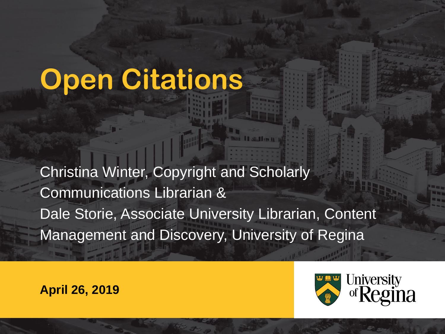#### **Open Citations**

Christina Winter, Copyright and Scholarly Communications Librarian & Dale Storie, Associate University Librarian, Content Management and Discovery, University of Regina

#### **April 26, 2019**

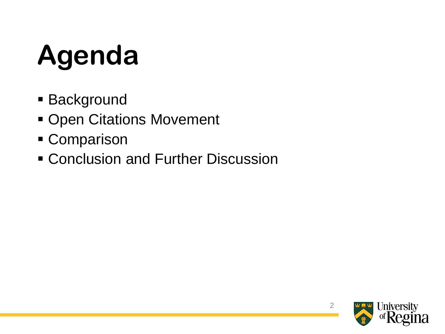# **Agenda**

- **Background**
- **Open Citations Movement**
- **E** Comparison
- **EX Conclusion and Further Discussion**

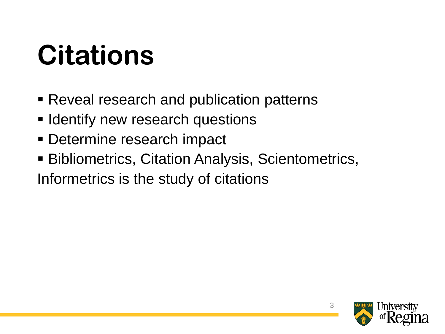#### **Citations**

- Reveal research and publication patterns
- **Example 1** Identify new research questions
- Determine research impact
- Bibliometrics, Citation Analysis, Scientometrics,

Informetrics is the study of citations

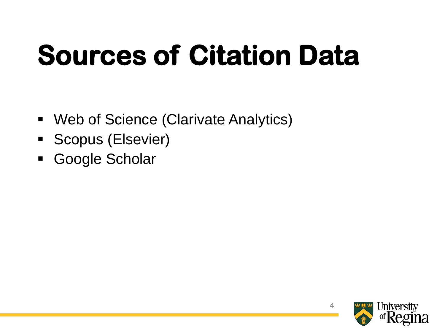## **Sources of Citation Data**

- Web of Science (Clarivate Analytics)
- **Exercise** Scopus (Elsevier)
- Google Scholar

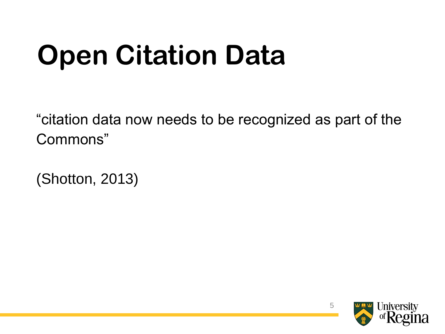### **Open Citation Data**

"citation data now needs to be recognized as part of the Commons"

(Shotton, 2013)

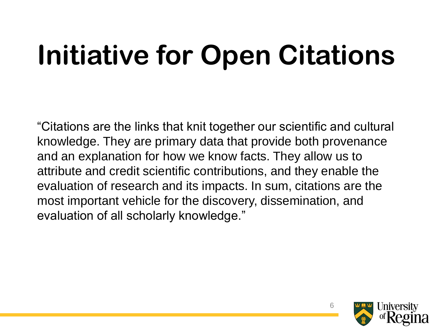### **Initiative for Open Citations**

"Citations are the links that knit together our scientific and cultural knowledge. They are primary data that provide both provenance and an explanation for how we know facts. They allow us to attribute and credit scientific contributions, and they enable the evaluation of research and its impacts. In sum, citations are the most important vehicle for the discovery, dissemination, and evaluation of all scholarly knowledge."

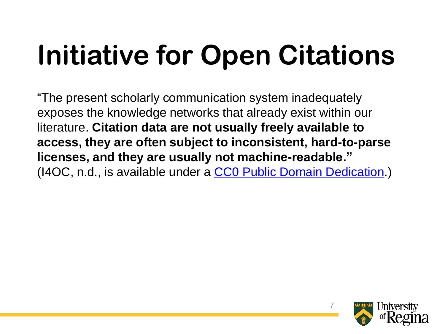## **Initiative for Open Citations**

"The present scholarly communication system inadequately exposes the knowledge networks that already exist within our literature. **Citation data are not usually freely available to access, they are often subject to inconsistent, hard-to-parse licenses, and they are usually not machine-readable."** (I4OC, n.d., is available under a [CC0 Public Domain Dedication.](https://creativecommons.org/publicdomain/zero/1.0/))

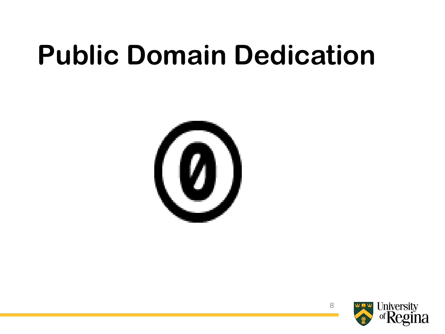#### **Public Domain Dedication**



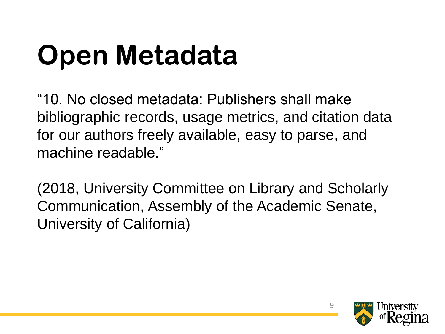## **Open Metadata**

"10. No closed metadata: Publishers shall make bibliographic records, usage metrics, and citation data for our authors freely available, easy to parse, and machine readable."

(2018, University Committee on Library and Scholarly Communication, Assembly of the Academic Senate, University of California)

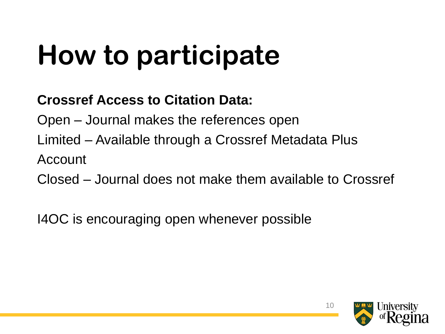## **How to participate**

#### **Crossref Access to Citation Data:**

Open – Journal makes the references open

Limited – Available through a Crossref Metadata Plus

Account

Closed – Journal does not make them available to Crossref

I4OC is encouraging open whenever possible

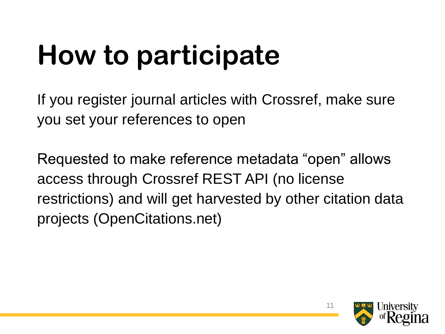## **How to participate**

If you register journal articles with Crossref, make sure you set your references to open

Requested to make reference metadata "open" allows access through Crossref REST API (no license restrictions) and will get harvested by other citation data projects (OpenCitations.net)

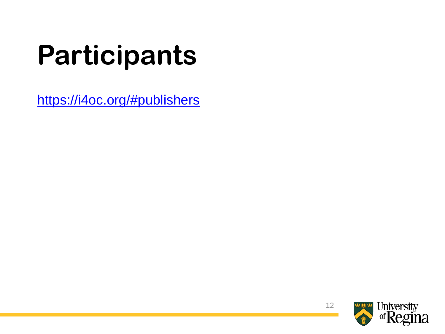## **Participants**

<https://i4oc.org/#publishers>

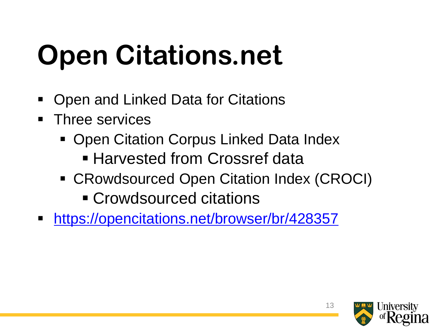## **Open Citations.net**

- Open and Linked Data for Citations
- Three services
	- Open Citation Corpus Linked Data Index **E** Harvested from Crossref data
	- CRowdsourced Open Citation Index (CROCI)
		- **Exercise Crowdsourced citations**
- <https://opencitations.net/browser/br/428357>

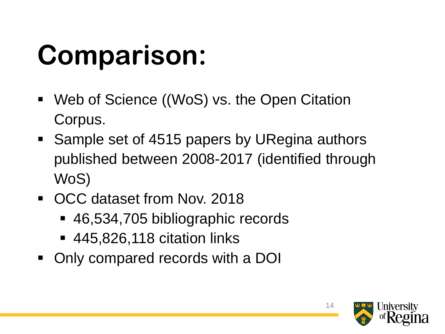#### **Comparison:**

- Web of Science ((WoS) vs. the Open Citation Corpus.
- Sample set of 4515 papers by URegina authors published between 2008-2017 (identified through WoS)
- OCC dataset from Nov. 2018
	- 46,534,705 bibliographic records
	- 445,826,118 citation links
- Only compared records with a DOI

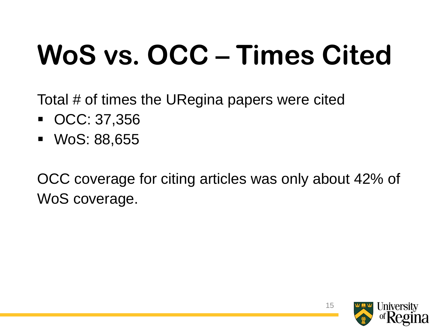## **WoS vs. OCC – Times Cited**

Total # of times the URegina papers were cited

- OCC: 37,356
- WoS: 88,655

OCC coverage for citing articles was only about 42% of WoS coverage.

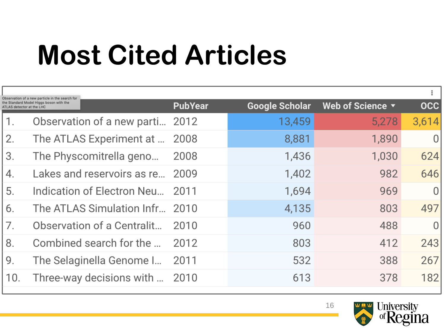#### **Most Cited Articles**

| Observation of a new particle in the search for                      |                                 |                |                       |                  |                |
|----------------------------------------------------------------------|---------------------------------|----------------|-----------------------|------------------|----------------|
| the Standard Model Higgs boson with the<br>ATLAS detector at the LHC |                                 | <b>PubYear</b> | <b>Google Scholar</b> | Web of Science v | <b>OCC</b>     |
| 1.                                                                   | Observation of a new parti 2012 |                | 13,459                | 5,278            | 3,614          |
| 2.                                                                   | The ATLAS Experiment at         | 2008           | 8,881                 | 1,890            | $\overline{0}$ |
| 3.                                                                   | The Physcomitrella geno         | 2008           | 1,436                 | 1,030            | 624            |
| 4.                                                                   | Lakes and reservoirs as re 2009 |                | 1,402                 | 982              | 646            |
| 5.                                                                   | Indication of Electron Neu      | 2011           | 1,694                 | 969              | $\overline{0}$ |
| 6.                                                                   | The ATLAS Simulation Infr 2010  |                | 4,135                 | 803              | 497            |
| 7.                                                                   | Observation of a Centralit      | 2010           | 960                   | 488              | $\overline{0}$ |
| 8.                                                                   | Combined search for the         | 2012           | 803                   | 412              | 243            |
| 9.                                                                   | The Selaginella Genome I        | 2011           | 532                   | 388              | 267            |
| 10.                                                                  | Three-way decisions with        | 2010           | 613                   | 378              | 182            |
|                                                                      |                                 |                |                       |                  |                |

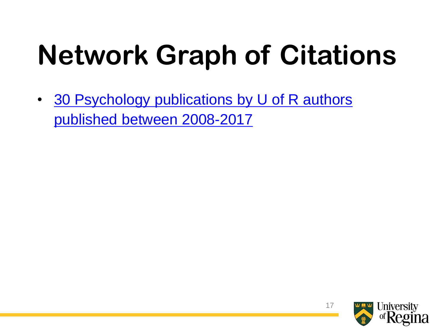## **Network Graph of Citations**

• 30 Psychology publications by U of R authors published between 2008-2017

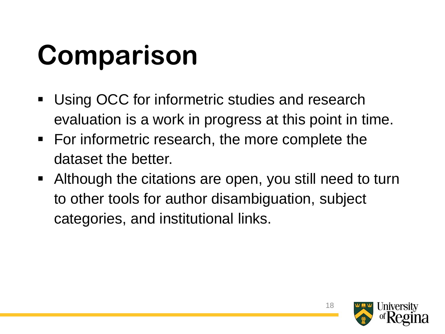## **Comparison**

- **Using OCC for informetric studies and research** evaluation is a work in progress at this point in time.
- For informetric research, the more complete the dataset the better.
- Although the citations are open, you still need to turn to other tools for author disambiguation, subject categories, and institutional links.

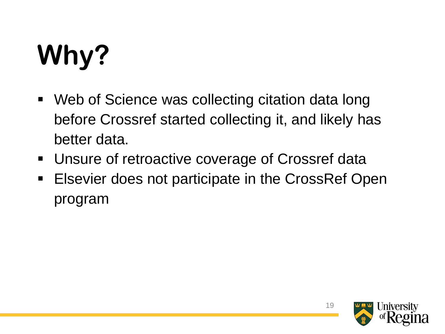# **Why?**

- Web of Science was collecting citation data long before Crossref started collecting it, and likely has better data.
- Unsure of retroactive coverage of Crossref data
- Elsevier does not participate in the CrossRef Open program

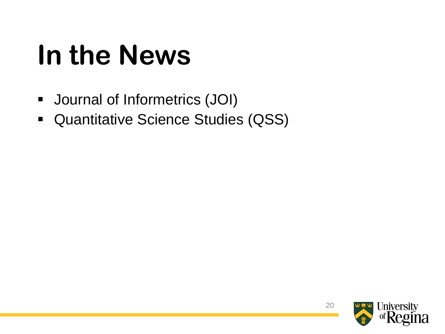#### **In the News**

- Journal of Informetrics (JOI)
- Quantitative Science Studies (QSS)

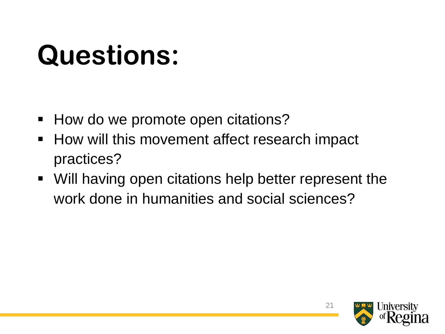#### **Questions:**

- How do we promote open citations?
- How will this movement affect research impact practices?
- Will having open citations help better represent the work done in humanities and social sciences?

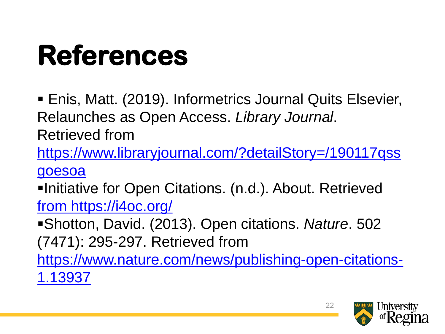#### **References**

**Enis, Matt. (2019). Informetrics Journal Quits Elsevier,** Relaunches as Open Access. *Library Journal*. Retrieved from

[https://www.libraryjournal.com/?detailStory=/190117qss](https://www.libraryjournal.com/?detailStory=/190117qssgoesoa) goesoa

▪Initiative for Open Citations. (n.d.). About. Retrieved [from https://i4oc.org/](from https:/i4oc.org/)

▪Shotton, David. (2013). Open citations. *Nature*. 502 (7471): 295-297. Retrieved from

[https://www.nature.com/news/publishing-open-citations-](https://www.nature.com/news/publishing-open-citations-1.13937)1.13937

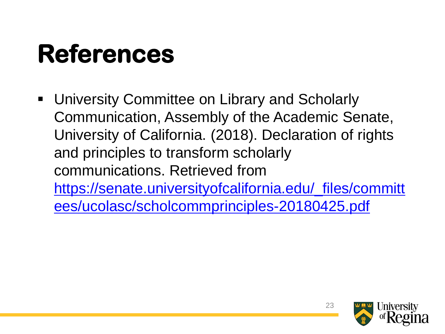#### **References**

■ University Committee on Library and Scholarly Communication, Assembly of the Academic Senate, University of California. (2018). Declaration of rights and principles to transform scholarly communications. Retrieved from [https://senate.universityofcalifornia.edu/\\_files/committ](https://senate.universityofcalifornia.edu/_files/committees/ucolasc/scholcommprinciples-20180425.pdf) ees/ucolasc/scholcommprinciples-20180425.pdf